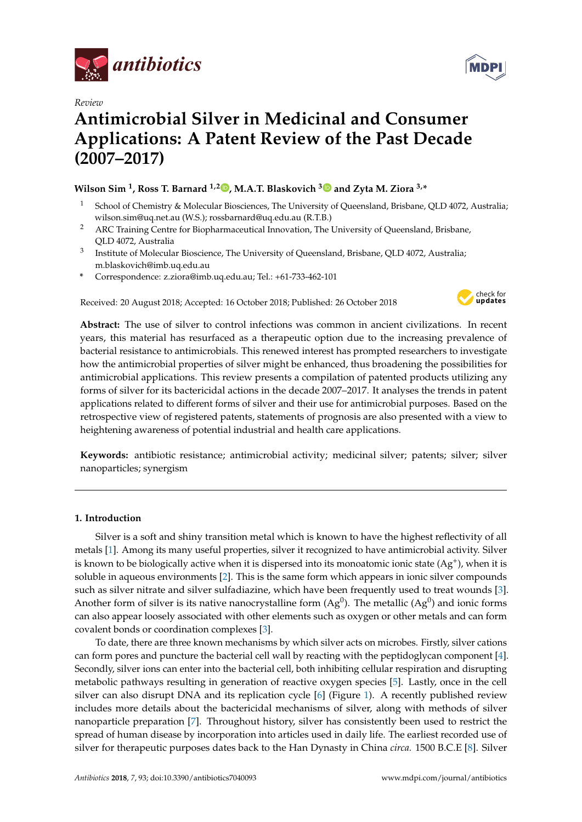

*Review*



# **Antimicrobial Silver in Medicinal and Consumer Applications: A Patent Review of the Past Decade (2007–2017)**

# **Wilson Sim <sup>1</sup> , Ross T. Barnard 1,2 [,](https://orcid.org/0000-0002-5685-4828) M.A.T. Blaskovich [3](https://orcid.org/0000-0001-9447-2292) and Zyta M. Ziora 3,\***

- <sup>1</sup> School of Chemistry & Molecular Biosciences, The University of Queensland, Brisbane, QLD 4072, Australia; wilson.sim@uq.net.au (W.S.); rossbarnard@uq.edu.au (R.T.B.)
- <sup>2</sup> ARC Training Centre for Biopharmaceutical Innovation, The University of Queensland, Brisbane, QLD 4072, Australia
- <sup>3</sup> Institute of Molecular Bioscience, The University of Queensland, Brisbane, QLD 4072, Australia; m.blaskovich@imb.uq.edu.au
- **\*** Correspondence: z.ziora@imb.uq.edu.au; Tel.: +61-733-462-101

Received: 20 August 2018; Accepted: 16 October 2018; Published: 26 October 2018



**Abstract:** The use of silver to control infections was common in ancient civilizations. In recent years, this material has resurfaced as a therapeutic option due to the increasing prevalence of bacterial resistance to antimicrobials. This renewed interest has prompted researchers to investigate how the antimicrobial properties of silver might be enhanced, thus broadening the possibilities for antimicrobial applications. This review presents a compilation of patented products utilizing any forms of silver for its bactericidal actions in the decade 2007–2017. It analyses the trends in patent applications related to different forms of silver and their use for antimicrobial purposes. Based on the retrospective view of registered patents, statements of prognosis are also presented with a view to heightening awareness of potential industrial and health care applications.

**Keywords:** antibiotic resistance; antimicrobial activity; medicinal silver; patents; silver; silver nanoparticles; synergism

# **1. Introduction**

Silver is a soft and shiny transition metal which is known to have the highest reflectivity of all metals [\[1\]](#page-11-0). Among its many useful properties, silver it recognized to have antimicrobial activity. Silver is known to be biologically active when it is dispersed into its monoatomic ionic state  $(Ag^+)$ , when it is soluble in aqueous environments [\[2\]](#page-11-1). This is the same form which appears in ionic silver compounds such as silver nitrate and silver sulfadiazine, which have been frequently used to treat wounds [\[3\]](#page-11-2). Another form of silver is its native nanocrystalline form (Ag<sup>0</sup>). The metallic (Ag<sup>0</sup>) and ionic forms can also appear loosely associated with other elements such as oxygen or other metals and can form covalent bonds or coordination complexes [\[3\]](#page-11-2).

To date, there are three known mechanisms by which silver acts on microbes. Firstly, silver cations can form pores and puncture the bacterial cell wall by reacting with the peptidoglycan component [\[4\]](#page-11-3). Secondly, silver ions can enter into the bacterial cell, both inhibiting cellular respiration and disrupting metabolic pathways resulting in generation of reactive oxygen species [\[5\]](#page-11-4). Lastly, once in the cell silver can also disrupt DNA and its replication cycle [\[6\]](#page-11-5) (Figure [1\)](#page-1-0). A recently published review includes more details about the bactericidal mechanisms of silver, along with methods of silver nanoparticle preparation [\[7\]](#page-11-6). Throughout history, silver has consistently been used to restrict the spread of human disease by incorporation into articles used in daily life. The earliest recorded use of silver for therapeutic purposes dates back to the Han Dynasty in China *circa.* 1500 B.C.E [\[8\]](#page-11-7). Silver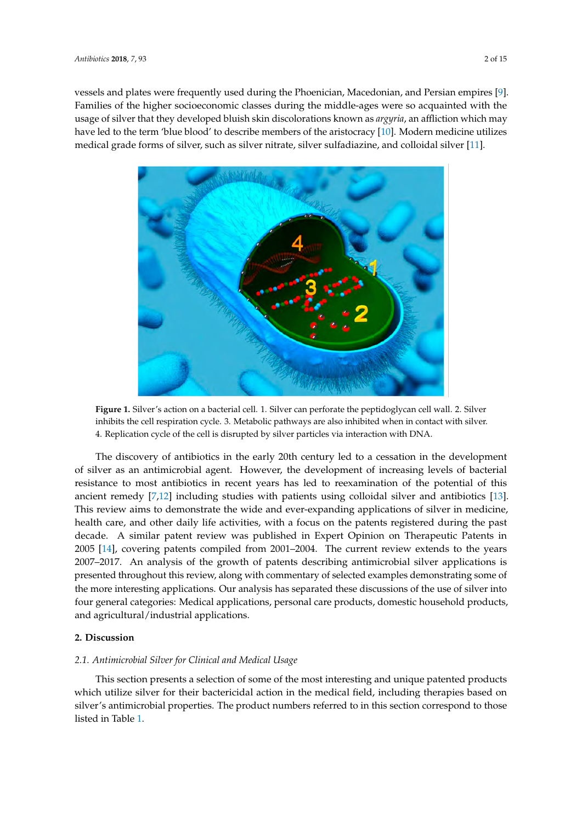vessels and plates were frequently used during the Phoenician, Macedonian, and Persian empires [\[9\]](#page-11-8). Families of the higher socioeconomic classes during the middle-ages were so acquainted with the usage of silver that they developed bluish skin discolorations known as *argyria*, an affliction which may have led to the term 'blue blood' to describe members of the aristocracy [\[10\]](#page-11-9). Modern medicine utilizes medical grade forms of silver, such as silver nitrate, silver sulfadiazine, and colloidal silver [\[11\]](#page-11-10).

<span id="page-1-0"></span>

**Figure 1.** Silver's action on a bacterial cell. 1. Silver can perforate the peptidoglycan cell wall. 2. Silver inhibits the cell respiration cycle. 3. Metabolic pathways are also inhibited when in contact with silver. 4. Replication cycle of the cell is disrupted by silver particles via interaction with DNA.

The discovery of antibiotics in the early 20th century led to a cessation in the development of silver as an antimicrobial agent. However, the development of increasing levels of bacterial resistance to most antibiotics in recent years has led to reexamination of the potential of this ancient remedy [\[7,](#page-11-6)[12\]](#page-12-0) including studies with patients using colloidal silver and antibiotics [\[13\]](#page-12-1). This review aims to demonstrate the wide and ever-expanding applications of silver in medicine, health care, and other daily life activities, with a focus on the patents registered during the past decade. A similar patent review was published in Expert Opinion on Therapeutic Patents in 2005 [\[14\]](#page-12-2), covering patents compiled from 2001–2004. The current review extends to the years 2007–2017. An analysis of the growth of patents describing antimicrobial silver applications is presented throughout this review, along with commentary of selected examples demonstrating some of the more interesting applications. Our analysis has separated these discussions of the use of silver into four general categories: Medical applications, personal care products, domestic household products, and agricultural/industrial applications.

#### **2. Discussion**

#### *2.1. Antimicrobial Silver for Clinical and Medical Usage*

This section presents a selection of some of the most interesting and unique patented products which utilize silver for their bactericidal action in the medical field, including therapies based on silver's antimicrobial properties. The product numbers referred to in this section correspond to those listed in Table [1.](#page-2-0)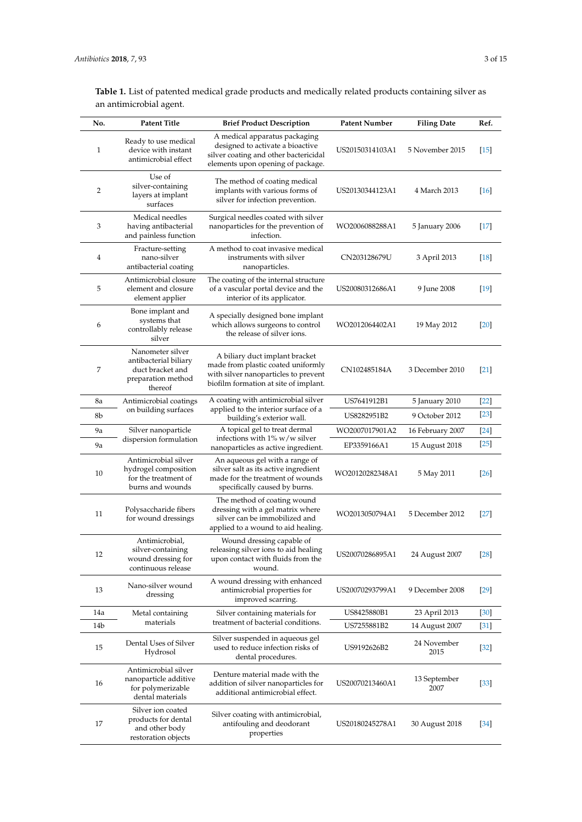<span id="page-2-0"></span>

| No. | <b>Patent Title</b>                                                                            | <b>Brief Product Description</b>                                                                                                                      | <b>Patent Number</b> | <b>Filing Date</b>   | Ref.   |
|-----|------------------------------------------------------------------------------------------------|-------------------------------------------------------------------------------------------------------------------------------------------------------|----------------------|----------------------|--------|
| 1   | Ready to use medical<br>device with instant<br>antimicrobial effect                            | A medical apparatus packaging<br>designed to activate a bioactive<br>silver coating and other bactericidal<br>elements upon opening of package.       | US20150314103A1      | 5 November 2015      | $[15]$ |
| 2   | Use of<br>silver-containing<br>layers at implant<br>surfaces                                   | The method of coating medical<br>implants with various forms of<br>silver for infection prevention.                                                   | US20130344123A1      | 4 March 2013         | $[16]$ |
| 3   | Medical needles<br>having antibacterial<br>and painless function                               | Surgical needles coated with silver<br>nanoparticles for the prevention of<br>infection.                                                              | WO2006088288A1       | 5 January 2006       | $[17]$ |
| 4   | Fracture-setting<br>nano-silver<br>antibacterial coating                                       | A method to coat invasive medical<br>instruments with silver<br>nanoparticles.                                                                        | CN203128679U         | 3 April 2013         | $[18]$ |
| 5   | Antimicrobial closure<br>element and closure<br>element applier                                | The coating of the internal structure<br>of a vascular portal device and the<br>interior of its applicator.                                           | US20080312686A1      | 9 June 2008          | $[19]$ |
| 6   | Bone implant and<br>systems that<br>controllably release<br>silver                             | A specially designed bone implant<br>which allows surgeons to control<br>the release of silver ions.                                                  | WO2012064402A1       | 19 May 2012          | [20]   |
| 7   | Nanometer silver<br>antibacterial biliary<br>duct bracket and<br>preparation method<br>thereof | A biliary duct implant bracket<br>made from plastic coated uniformly<br>with silver nanoparticles to prevent<br>biofilm formation at site of implant. | CN102485184A         | 3 December 2010      | $[21]$ |
| 8a  | Antimicrobial coatings                                                                         | A coating with antimicrobial silver<br>applied to the interior surface of a<br>building's exterior wall.                                              | US7641912B1          | 5 January 2010       | $[22]$ |
| 8b  | on building surfaces                                                                           |                                                                                                                                                       | US8282951B2          | 9 October 2012       | $[23]$ |
| 9a  | Silver nanoparticle                                                                            | A topical gel to treat dermal                                                                                                                         | WO2007017901A2       | 16 February 2007     | $[24]$ |
| 9a  | dispersion formulation                                                                         | infections with $1\%$ w/w silver<br>nanoparticles as active ingredient.                                                                               | EP3359166A1          | 15 August 2018       | $[25]$ |
| 10  | Antimicrobial silver<br>hydrogel composition<br>for the treatment of<br>burns and wounds       | An aqueous gel with a range of<br>silver salt as its active ingredient<br>made for the treatment of wounds<br>specifically caused by burns.           | WO20120282348A1      | 5 May 2011           | $[26]$ |
| 11  | Polysaccharide fibers<br>for wound dressings                                                   | The method of coating wound<br>dressing with a gel matrix where<br>silver can be immobilized and<br>applied to a wound to aid healing.                | WO2013050794A1       | 5 December 2012      | $[27]$ |
| 12  | Antimicrobial,<br>silver-containing<br>wound dressing for<br>continuous release                | Wound dressing capable of<br>releasing silver ions to aid healing<br>upon contact with fluids from the<br>wound.                                      | US20070286895A1      | 24 August 2007       | $[28]$ |
| 13  | Nano-silver wound<br>dressing                                                                  | A wound dressing with enhanced<br>antimicrobial properties for<br>improved scarring.                                                                  | US20070293799A1      | 9 December 2008      | $[29]$ |
| 14a | Metal containing<br>materials                                                                  | Silver containing materials for<br>treatment of bacterial conditions.                                                                                 | US8425880B1          | 23 April 2013        | $[30]$ |
| 14b |                                                                                                |                                                                                                                                                       | US7255881B2          | 14 August 2007       | $[31]$ |
| 15  | Dental Uses of Silver<br>Hydrosol                                                              | Silver suspended in aqueous gel<br>used to reduce infection risks of<br>dental procedures.                                                            | US9192626B2          | 24 November<br>2015  | $[32]$ |
| 16  | Antimicrobial silver<br>nanoparticle additive<br>for polymerizable<br>dental materials         | Denture material made with the<br>addition of silver nanoparticles for<br>additional antimicrobial effect.                                            | US20070213460A1      | 13 September<br>2007 | $[33]$ |
| 17  | Silver ion coated<br>products for dental<br>and other body<br>restoration objects              | Silver coating with antimicrobial,<br>antifouling and deodorant<br>properties                                                                         | US20180245278A1      | 30 August 2018       | [34]   |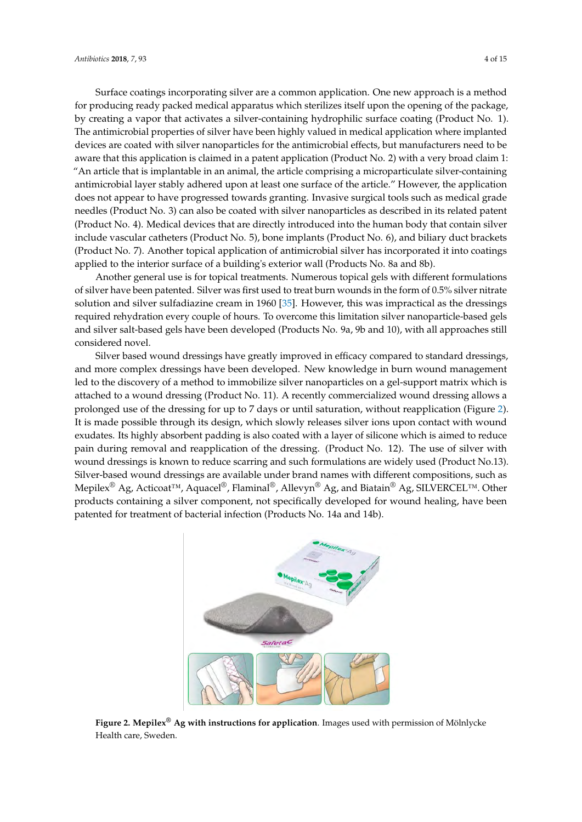Surface coatings incorporating silver are a common application. One new approach is a method for producing ready packed medical apparatus which sterilizes itself upon the opening of the package, by creating a vapor that activates a silver-containing hydrophilic surface coating (Product No. 1). The antimicrobial properties of silver have been highly valued in medical application where implanted devices are coated with silver nanoparticles for the antimicrobial effects, but manufacturers need to be aware that this application is claimed in a patent application (Product No. 2) with a very broad claim 1: "An article that is implantable in an animal, the article comprising a microparticulate silver-containing antimicrobial layer stably adhered upon at least one surface of the article." However, the application does not appear to have progressed towards granting. Invasive surgical tools such as medical grade needles (Product No. 3) can also be coated with silver nanoparticles as described in its related patent (Product No. 4). Medical devices that are directly introduced into the human body that contain silver include vascular catheters (Product No. 5), bone implants (Product No. 6), and biliary duct brackets (Product No. 7). Another topical application of antimicrobial silver has incorporated it into coatings applied to the interior surface of a building's exterior wall (Products No. 8a and 8b).

Another general use is for topical treatments. Numerous topical gels with different formulations of silver have been patented. Silver was first used to treat burn wounds in the form of 0.5% silver nitrate solution and silver sulfadiazine cream in 1960 [\[35\]](#page-12-23). However, this was impractical as the dressings required rehydration every couple of hours. To overcome this limitation silver nanoparticle-based gels and silver salt-based gels have been developed (Products No. 9a, 9b and 10), with all approaches still considered novel.

Silver based wound dressings have greatly improved in efficacy compared to standard dressings, and more complex dressings have been developed. New knowledge in burn wound management led to the discovery of a method to immobilize silver nanoparticles on a gel-support matrix which is attached to a wound dressing (Product No. 11). A recently commercialized wound dressing allows a prolonged use of the dressing for up to 7 days or until saturation, without reapplication (Figure [2\)](#page-3-0). It is made possible through its design, which slowly releases silver ions upon contact with wound exudates. Its highly absorbent padding is also coated with a layer of silicone which is aimed to reduce pain during removal and reapplication of the dressing. (Product No. 12). The use of silver with wound dressings is known to reduce scarring and such formulations are widely used (Product No.13). Silver-based wound dressings are available under brand names with different compositions, such as Mepilex<sup>®</sup> Ag, Acticoat<sup>™</sup>, Aquacel<sup>®</sup>, Flaminal®, Allevyn<sup>®</sup> Ag, and Biatain<sup>®</sup> Ag, SILVERCEL™. Other products containing a silver component, not specifically developed for wound healing, have been patented for treatment of bacterial infection (Products No. 14a and 14b).

<span id="page-3-0"></span>

**Figure 2. Mepilex® Ag with instructions for application**. Images used with permission of Mölnlycke Health care, Sweden.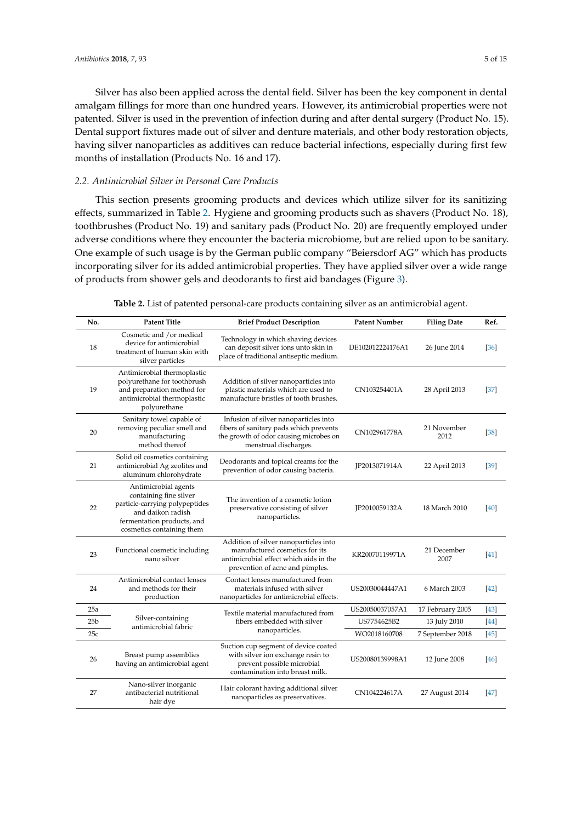Silver has also been applied across the dental field. Silver has been the key component in dental amalgam fillings for more than one hundred years. However, its antimicrobial properties were not patented. Silver is used in the prevention of infection during and after dental surgery (Product No. 15). Dental support fixtures made out of silver and denture materials, and other body restoration objects, having silver nanoparticles as additives can reduce bacterial infections, especially during first few months of installation (Products No. 16 and 17).

# *2.2. Antimicrobial Silver in Personal Care Products*

This section presents grooming products and devices which utilize silver for its sanitizing effects, summarized in Table [2.](#page-4-0) Hygiene and grooming products such as shavers (Product No. 18), toothbrushes (Product No. 19) and sanitary pads (Product No. 20) are frequently employed under adverse conditions where they encounter the bacteria microbiome, but are relied upon to be sanitary. One example of such usage is by the German public company "Beiersdorf AG" which has products incorporating silver for its added antimicrobial properties. They have applied silver over a wide range of products from shower gels and deodorants to first aid bandages (Figure [3\)](#page-5-0).

<span id="page-4-0"></span>

| No. | <b>Patent Title</b>                                                                                                                                              | <b>Brief Product Description</b>                                                                                                                     | <b>Patent Number</b> | <b>Filing Date</b>  | Ref.   |
|-----|------------------------------------------------------------------------------------------------------------------------------------------------------------------|------------------------------------------------------------------------------------------------------------------------------------------------------|----------------------|---------------------|--------|
| 18  | Cosmetic and /or medical<br>device for antimicrobial<br>treatment of human skin with<br>silver particles                                                         | Technology in which shaving devices<br>can deposit silver ions unto skin in<br>place of traditional antiseptic medium.                               | DE102012224176A1     | 26 June 2014        | [36]   |
| 19  | Antimicrobial thermoplastic<br>polyurethane for toothbrush<br>and preparation method for<br>antimicrobial thermoplastic<br>polyurethane                          | Addition of silver nanoparticles into<br>plastic materials which are used to<br>manufacture bristles of tooth brushes.                               | CN103254401A         | 28 April 2013       | $[37]$ |
| 20  | Sanitary towel capable of<br>removing peculiar smell and<br>manufacturing<br>method thereof                                                                      | Infusion of silver nanoparticles into<br>fibers of sanitary pads which prevents<br>the growth of odor causing microbes on<br>menstrual discharges.   | CN102961778A         | 21 November<br>2012 | $[38]$ |
| 21  | Solid oil cosmetics containing<br>antimicrobial Ag zeolites and<br>aluminum chlorohydrate                                                                        | Deodorants and topical creams for the<br>prevention of odor causing bacteria.                                                                        | JP2013071914A        | 22 April 2013       | $[39]$ |
| 22  | Antimicrobial agents<br>containing fine silver<br>particle-carrying polypeptides<br>and daikon radish<br>fermentation products, and<br>cosmetics containing them | The invention of a cosmetic lotion<br>preservative consisting of silver<br>nanoparticles.                                                            | JP2010059132A        | 18 March 2010       | [40]   |
| 23  | Functional cosmetic including<br>nano silver                                                                                                                     | Addition of silver nanoparticles into<br>manufactured cosmetics for its<br>antimicrobial effect which aids in the<br>prevention of acne and pimples. | KR20070119971A       | 21 December<br>2007 | 41     |
| 24  | Antimicrobial contact lenses<br>and methods for their<br>production                                                                                              | Contact lenses manufactured from<br>materials infused with silver<br>nanoparticles for antimicrobial effects.                                        | US20030044447A1      | 6 March 2003        | $[42]$ |
| 25a |                                                                                                                                                                  | Textile material manufactured from<br>fibers embedded with silver<br>nanoparticles.                                                                  | US20050037057A1      | 17 February 2005    | $[43]$ |
| 25b | Silver-containing<br>antimicrobial fabric                                                                                                                        |                                                                                                                                                      | US7754625B2          | 13 July 2010        | [44]   |
| 25c |                                                                                                                                                                  |                                                                                                                                                      | WO2018160708         | 7 September 2018    | [45]   |
| 26  | Breast pump assemblies<br>having an antimicrobial agent                                                                                                          | Suction cup segment of device coated<br>with silver ion exchange resin to<br>prevent possible microbial<br>contamination into breast milk.           | US20080139998A1      | 12 June 2008        | [46]   |
| 27  | Nano-silver inorganic<br>antibacterial nutritional<br>hair dye                                                                                                   | Hair colorant having additional silver<br>nanoparticles as preservatives.                                                                            | CN104224617A         | 27 August 2014      | $[47]$ |

**Table 2.** List of patented personal-care products containing silver as an antimicrobial agent.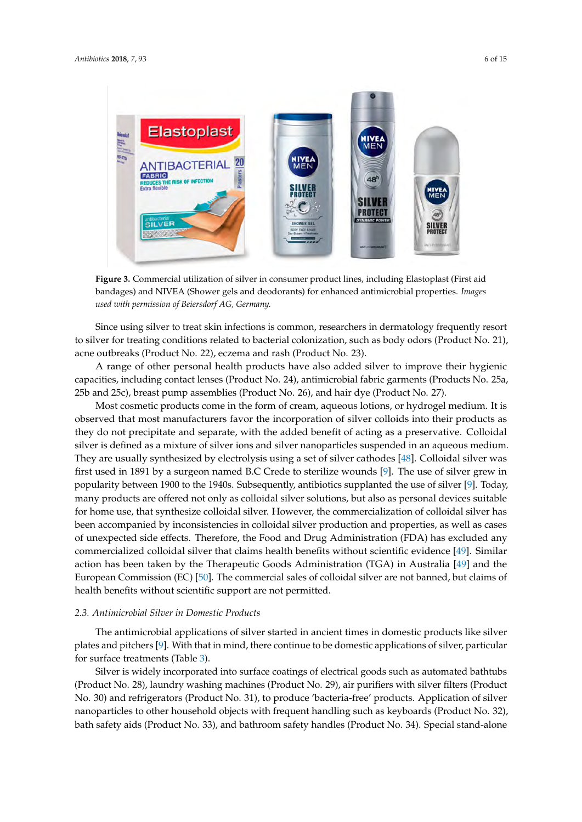<span id="page-5-0"></span>

**Figure 3.** Commercial utilization of silver in consumer product lines, including Elastoplast (First aid bandages) and NIVEA (Shower gels and deodorants) for enhanced antimicrobial properties. *Images used with permission of Beiersdorf AG, Germany.*

Since using silver to treat skin infections is common, researchers in dermatology frequently resort to silver for treating conditions related to bacterial colonization, such as body odors (Product No. 21), acne outbreaks (Product No. 22), eczema and rash (Product No. 23).

A range of other personal health products have also added silver to improve their hygienic capacities, including contact lenses (Product No. 24), antimicrobial fabric garments (Products No. 25a, 25b and 25c), breast pump assemblies (Product No. 26), and hair dye (Product No. 27).

Most cosmetic products come in the form of cream, aqueous lotions, or hydrogel medium. It is observed that most manufacturers favor the incorporation of silver colloids into their products as they do not precipitate and separate, with the added benefit of acting as a preservative. Colloidal silver is defined as a mixture of silver ions and silver nanoparticles suspended in an aqueous medium. They are usually synthesized by electrolysis using a set of silver cathodes [\[48\]](#page-13-7). Colloidal silver was first used in 1891 by a surgeon named B.C Crede to sterilize wounds [\[9\]](#page-11-8). The use of silver grew in popularity between 1900 to the 1940s. Subsequently, antibiotics supplanted the use of silver [\[9\]](#page-11-8). Today, many products are offered not only as colloidal silver solutions, but also as personal devices suitable for home use, that synthesize colloidal silver. However, the commercialization of colloidal silver has been accompanied by inconsistencies in colloidal silver production and properties, as well as cases of unexpected side effects. Therefore, the Food and Drug Administration (FDA) has excluded any commercialized colloidal silver that claims health benefits without scientific evidence [\[49\]](#page-13-8). Similar action has been taken by the Therapeutic Goods Administration (TGA) in Australia [\[49\]](#page-13-8) and the European Commission (EC) [\[50\]](#page-13-9). The commercial sales of colloidal silver are not banned, but claims of health benefits without scientific support are not permitted.

#### *2.3. Antimicrobial Silver in Domestic Products*

The antimicrobial applications of silver started in ancient times in domestic products like silver plates and pitchers [\[9\]](#page-11-8). With that in mind, there continue to be domestic applications of silver, particular for surface treatments (Table [3\)](#page-6-0).

Silver is widely incorporated into surface coatings of electrical goods such as automated bathtubs (Product No. 28), laundry washing machines (Product No. 29), air purifiers with silver filters (Product No. 30) and refrigerators (Product No. 31), to produce 'bacteria-free' products. Application of silver nanoparticles to other household objects with frequent handling such as keyboards (Product No. 32), bath safety aids (Product No. 33), and bathroom safety handles (Product No. 34). Special stand-alone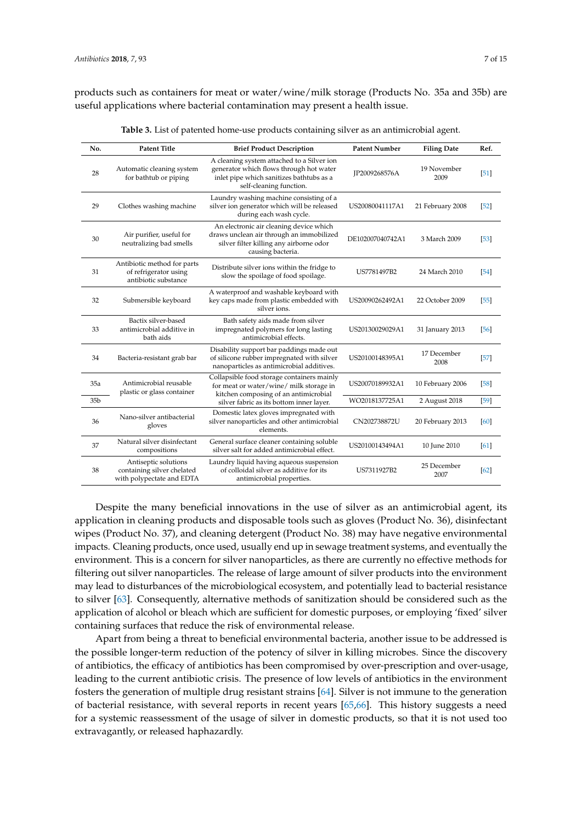products such as containers for meat or water/wine/milk storage (Products No. 35a and 35b) are useful applications where bacterial contamination may present a health issue.

<span id="page-6-0"></span>

| No.             | <b>Patent Title</b>                                                             | <b>Brief Product Description</b>                                                                                                                                           | <b>Patent Number</b> | <b>Filing Date</b>  | Ref.   |
|-----------------|---------------------------------------------------------------------------------|----------------------------------------------------------------------------------------------------------------------------------------------------------------------------|----------------------|---------------------|--------|
| 28              | Automatic cleaning system<br>for bathtub or piping                              | A cleaning system attached to a Silver ion<br>generator which flows through hot water<br>inlet pipe which sanitizes bathtubs as a<br>self-cleaning function.               | IP2009268576A        | 19 November<br>2009 | [51]   |
| 29              | Clothes washing machine                                                         | Laundry washing machine consisting of a<br>silver ion generator which will be released<br>during each wash cycle.                                                          | US20080041117A1      | 21 February 2008    | $[52]$ |
| 30              | Air purifier, useful for<br>neutralizing bad smells                             | An electronic air cleaning device which<br>draws unclean air through an immobilized<br>silver filter killing any airborne odor<br>causing bacteria.                        | DE102007040742A1     | 3 March 2009        | $[53]$ |
| 31              | Antibiotic method for parts<br>of refrigerator using<br>antibiotic substance    | Distribute silver ions within the fridge to<br>slow the spoilage of food spoilage.                                                                                         | US7781497B2          | 24 March 2010       | [54]   |
| 32              | Submersible keyboard                                                            | A waterproof and washable keyboard with<br>key caps made from plastic embedded with<br>silver ions.                                                                        | US20090262492A1      | 22 October 2009     | $[55]$ |
| 33              | Bactix silver-based<br>antimicrobial additive in<br>bath aids                   | Bath safety aids made from silver<br>impregnated polymers for long lasting<br>antimicrobial effects.                                                                       | US20130029029A1      | 31 January 2013     | [56]   |
| 34              | Bacteria-resistant grab bar                                                     | Disability support bar paddings made out<br>of silicone rubber impregnated with silver<br>nanoparticles as antimicrobial additives.                                        | US20100148395A1      | 17 December<br>2008 | $[57]$ |
| 35a             | Antimicrobial reusable<br>plastic or glass container                            | Collapsible food storage containers mainly<br>for meat or water/wine/ milk storage in<br>kitchen composing of an antimicrobial<br>silver fabric as its bottom inner layer. | US20070189932A1      | 10 February 2006    | $[58]$ |
| 35 <sub>b</sub> |                                                                                 |                                                                                                                                                                            | WO2018137725A1       | 2 August 2018       | [59]   |
| 36              | Nano-silver antibacterial<br>gloves                                             | Domestic latex gloves impregnated with<br>silver nanoparticles and other antimicrobial<br>elements.                                                                        | CN202738872U         | 20 February 2013    | [60]   |
| 37              | Natural silver disinfectant<br>compositions                                     | General surface cleaner containing soluble<br>silver salt for added antimicrobial effect.                                                                                  | US20100143494A1      | 10 June 2010        | [61]   |
| 38              | Antiseptic solutions<br>containing silver chelated<br>with polypectate and EDTA | Laundry liquid having aqueous suspension<br>of colloidal silver as additive for its<br>antimicrobial properties.                                                           | US7311927B2          | 25 December<br>2007 | [62]   |

**Table 3.** List of patented home-use products containing silver as an antimicrobial agent.

Despite the many beneficial innovations in the use of silver as an antimicrobial agent, its application in cleaning products and disposable tools such as gloves (Product No. 36), disinfectant wipes (Product No. 37), and cleaning detergent (Product No. 38) may have negative environmental impacts. Cleaning products, once used, usually end up in sewage treatment systems, and eventually the environment. This is a concern for silver nanoparticles, as there are currently no effective methods for filtering out silver nanoparticles. The release of large amount of silver products into the environment may lead to disturbances of the microbiological ecosystem, and potentially lead to bacterial resistance to silver [\[63\]](#page-13-22). Consequently, alternative methods of sanitization should be considered such as the application of alcohol or bleach which are sufficient for domestic purposes, or employing 'fixed' silver containing surfaces that reduce the risk of environmental release.

Apart from being a threat to beneficial environmental bacteria, another issue to be addressed is the possible longer-term reduction of the potency of silver in killing microbes. Since the discovery of antibiotics, the efficacy of antibiotics has been compromised by over-prescription and over-usage, leading to the current antibiotic crisis. The presence of low levels of antibiotics in the environment fosters the generation of multiple drug resistant strains [\[64\]](#page-13-23). Silver is not immune to the generation of bacterial resistance, with several reports in recent years [\[65,](#page-13-24)[66\]](#page-13-25). This history suggests a need for a systemic reassessment of the usage of silver in domestic products, so that it is not used too extravagantly, or released haphazardly.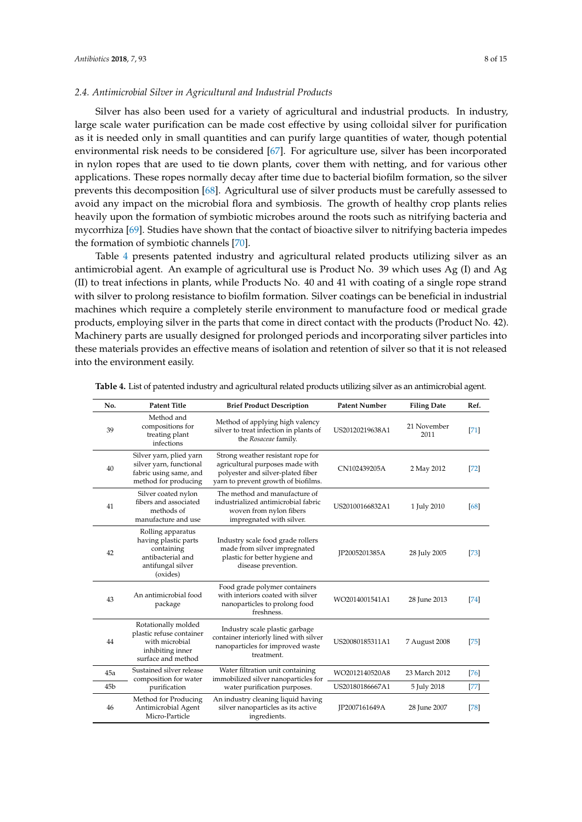#### *2.4. Antimicrobial Silver in Agricultural and Industrial Products*

Silver has also been used for a variety of agricultural and industrial products. In industry, large scale water purification can be made cost effective by using colloidal silver for purification as it is needed only in small quantities and can purify large quantities of water, though potential environmental risk needs to be considered [\[67\]](#page-13-26). For agriculture use, silver has been incorporated in nylon ropes that are used to tie down plants, cover them with netting, and for various other applications. These ropes normally decay after time due to bacterial biofilm formation, so the silver prevents this decomposition [\[68\]](#page-13-27). Agricultural use of silver products must be carefully assessed to avoid any impact on the microbial flora and symbiosis. The growth of healthy crop plants relies heavily upon the formation of symbiotic microbes around the roots such as nitrifying bacteria and mycorrhiza [\[69\]](#page-13-28). Studies have shown that the contact of bioactive silver to nitrifying bacteria impedes the formation of symbiotic channels [\[70\]](#page-14-0).

Table [4](#page-7-0) presents patented industry and agricultural related products utilizing silver as an antimicrobial agent. An example of agricultural use is Product No. 39 which uses Ag (I) and Ag (II) to treat infections in plants, while Products No. 40 and 41 with coating of a single rope strand with silver to prolong resistance to biofilm formation. Silver coatings can be beneficial in industrial machines which require a completely sterile environment to manufacture food or medical grade products, employing silver in the parts that come in direct contact with the products (Product No. 42). Machinery parts are usually designed for prolonged periods and incorporating silver particles into these materials provides an effective means of isolation and retention of silver so that it is not released into the environment easily.

| No.             | <b>Patent Title</b>                                                                                           | <b>Brief Product Description</b>                                                                                                                 | <b>Patent Number</b> | <b>Filing Date</b>  | Ref.   |
|-----------------|---------------------------------------------------------------------------------------------------------------|--------------------------------------------------------------------------------------------------------------------------------------------------|----------------------|---------------------|--------|
| 39              | Method and<br>compositions for<br>treating plant<br>infections                                                | Method of applying high valency<br>silver to treat infection in plants of<br>the Rosaceae family.                                                | US20120219638A1      | 21 November<br>2011 | [71]   |
| 40              | Silver yarn, plied yarn<br>silver yarn, functional<br>fabric using same, and<br>method for producing          | Strong weather resistant rope for<br>agricultural purposes made with<br>polyester and silver-plated fiber<br>yarn to prevent growth of biofilms. | CN102439205A         | 2 May 2012          | $[72]$ |
| 41              | Silver coated nylon<br>fibers and associated<br>methods of<br>manufacture and use                             | The method and manufacture of<br>industrialized antimicrobial fabric<br>woven from nylon fibers<br>impregnated with silver.                      | US20100166832A1      | 1 July 2010         | 68     |
| 42              | Rolling apparatus<br>having plastic parts<br>containing<br>antibacterial and<br>antifungal silver<br>(oxides) | Industry scale food grade rollers<br>made from silver impregnated<br>plastic for better hygiene and<br>disease prevention.                       | JP2005201385A        | 28 July 2005        | 73     |
| 43              | An antimicrobial food<br>package                                                                              | Food grade polymer containers<br>with interiors coated with silver<br>nanoparticles to prolong food<br>freshness.                                | WO2014001541A1       | 28 June 2013        | 74     |
| 44              | Rotationally molded<br>plastic refuse container<br>with microbial<br>inhibiting inner<br>surface and method   | Industry scale plastic garbage<br>container interiorly lined with silver<br>nanoparticles for improved waste<br>treatment.                       | US20080185311A1      | 7 August 2008       | $[75]$ |
| 45a             | Sustained silver release<br>composition for water                                                             | Water filtration unit containing<br>immobilized silver nanoparticles for                                                                         | WO2012140520A8       | 23 March 2012       | 76     |
| 45 <sub>b</sub> | purification                                                                                                  | water purification purposes.                                                                                                                     | US20180186667A1      | 5 July 2018         | $[77]$ |
| 46              | Method for Producing<br>Antimicrobial Agent<br>Micro-Particle                                                 | An industry cleaning liquid having<br>silver nanoparticles as its active<br>ingredients.                                                         | JP2007161649A        | 28 June 2007        | 78     |

<span id="page-7-0"></span>**Table 4.** List of patented industry and agricultural related products utilizing silver as an antimicrobial agent.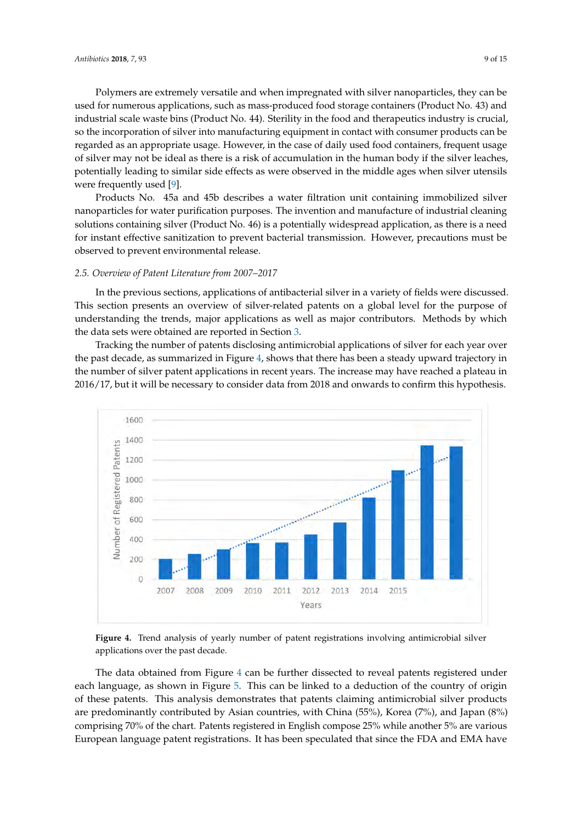Polymers are extremely versatile and when impregnated with silver nanoparticles, they can be used for numerous applications, such as mass-produced food storage containers (Product No. 43) and industrial scale waste bins (Product No. 44). Sterility in the food and therapeutics industry is crucial, so the incorporation of silver into manufacturing equipment in contact with consumer products can be regarded as an appropriate usage. However, in the case of daily used food containers, frequent usage of silver may not be ideal as there is a risk of accumulation in the human body if the silver leaches, potentially leading to similar side effects as were observed in the middle ages when silver utensils were frequently used [\[9\]](#page-11-8).

Products No. 45a and 45b describes a water filtration unit containing immobilized silver nanoparticles for water purification purposes. The invention and manufacture of industrial cleaning solutions containing silver (Product No. 46) is a potentially widespread application, as there is a need for instant effective sanitization to prevent bacterial transmission. However, precautions must be observed to prevent environmental release.

#### *2.5. Overview of Patent Literature from 2007–2017*

In the previous sections, applications of antibacterial silver in a variety of fields were discussed. This section presents an overview of silver-related patents on a global level for the purpose of understanding the trends, major applications as well as major contributors. Methods by which the data sets were obtained are reported in Section [3.](#page-10-0)

Tracking the number of patents disclosing antimicrobial applications of silver for each year over the past decade, as summarized in Figure [4,](#page-8-0) shows that there has been a steady upward trajectory in the number of silver patent applications in recent years. The increase may have reached a plateau in 2016/17, but it will be necessary to consider data from 2018 and onwards to confirm this hypothesis.

<span id="page-8-0"></span>

**Figure 4.** Trend analysis of yearly number of patent registrations involving antimicrobial silver applications over the past decade.

The data obtained from Figure [4](#page-8-0) can be further dissected to reveal patents registered under each language, as shown in Figure [5.](#page-9-0) This can be linked to a deduction of the country of origin of these patents. This analysis demonstrates that patents claiming antimicrobial silver products are predominantly contributed by Asian countries, with China (55%), Korea (7%), and Japan (8%) comprising 70% of the chart. Patents registered in English compose 25% while another 5% are various European language patent registrations. It has been speculated that since the FDA and EMA have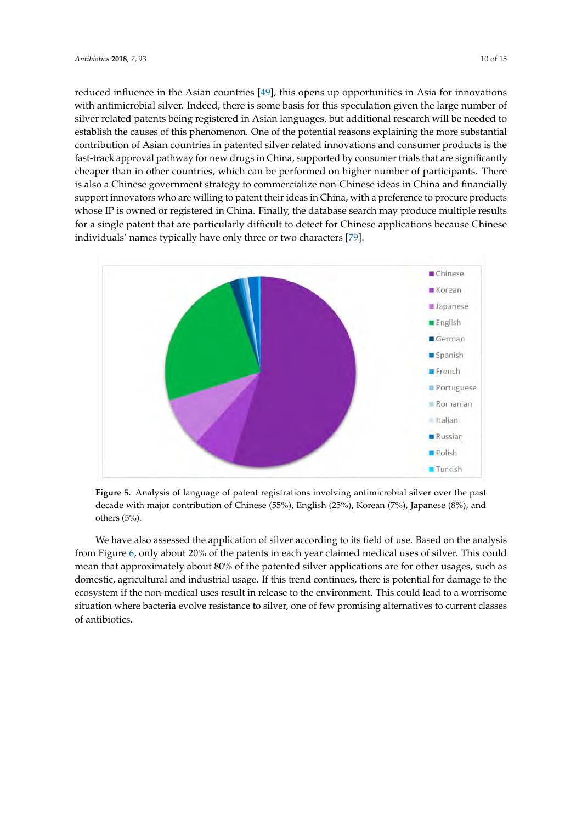reduced influence in the Asian countries [\[49\]](#page-13-8), this opens up opportunities in Asia for innovations with antimicrobial silver. Indeed, there is some basis for this speculation given the large number of silver related patents being registered in Asian languages, but additional research will be needed to establish the causes of this phenomenon. One of the potential reasons explaining the more substantial contribution of Asian countries in patented silver related innovations and consumer products is the fast-track approval pathway for new drugs in China, supported by consumer trials that are significantly cheaper than in other countries, which can be performed on higher number of participants. There is also a Chinese government strategy to commercialize non-Chinese ideas in China and financially support innovators who are willing to patent their ideas in China, with a preference to procure products whose IP is owned or registered in China. Finally, the database search may produce multiple results for a single patent that are particularly difficult to detect for Chinese applications because Chinese

individuals' names typically have only three or two characters [\[79\]](#page-14-9).

<span id="page-9-0"></span>

**Figure 5.** Analysis of language of patent registrations involving antimicrobial silver over the past decade with major contribution of Chinese (55%), English (25%), Korean (7%), Japanese (8%), and others (5%).

We have also assessed the application of silver according to its field of use. Based on the analysis from Figure [6,](#page-10-1) only about 20% of the patents in each year claimed medical uses of silver. This could mean that approximately about 80% of the patented silver applications are for other usages, such as domestic, agricultural and industrial usage. If this trend continues, there is potential for damage to the ecosystem if the non-medical uses result in release to the environment. This could lead to a worrisome situation where bacteria evolve resistance to silver, one of few promising alternatives to current classes of antibiotics.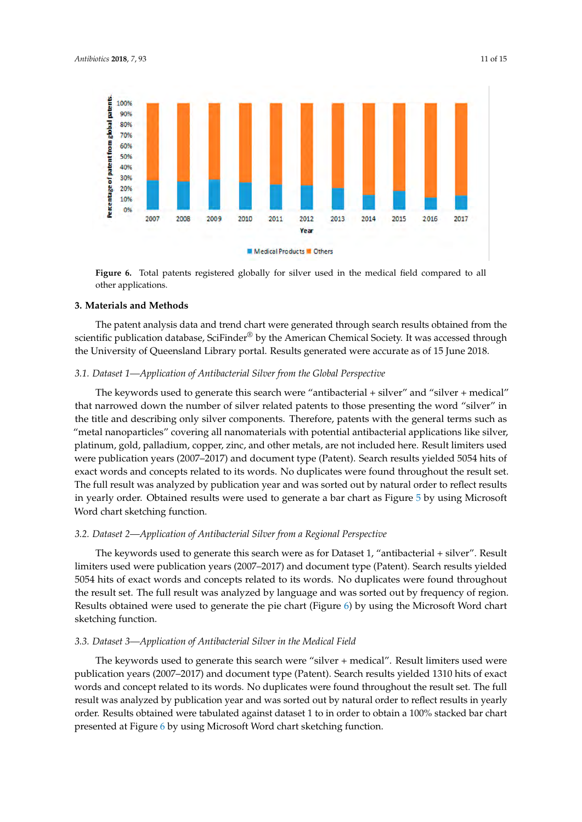100% 90% 80% 70% 60%



<span id="page-10-1"></span>

**Figure 6.** Total patents registered globally for silver used in the medical field compared to all other applications.

# <span id="page-10-0"></span>**3. Materials and Methods**

The patent analysis data and trend chart were generated through search results obtained from the scientific publication database, SciFinder® by the American Chemical Society. It was accessed through the University of Queensland Library portal. Results generated were accurate as of 15 June 2018.

# *3.1. Dataset 1—Application of Antibacterial Silver from the Global Perspective*

The keywords used to generate this search were "antibacterial + silver" and "silver + medical" that narrowed down the number of silver related patents to those presenting the word "silver" in the title and describing only silver components. Therefore, patents with the general terms such as "metal nanoparticles" covering all nanomaterials with potential antibacterial applications like silver, platinum, gold, palladium, copper, zinc, and other metals, are not included here. Result limiters used were publication years (2007–2017) and document type (Patent). Search results yielded 5054 hits of exact words and concepts related to its words. No duplicates were found throughout the result set. The full result was analyzed by publication year and was sorted out by natural order to reflect results in yearly order. Obtained results were used to generate a bar chart as Figure [5](#page-9-0) by using Microsoft Word chart sketching function.

# *3.2. Dataset 2—Application of Antibacterial Silver from a Regional Perspective*

The keywords used to generate this search were as for Dataset 1, "antibacterial + silver". Result limiters used were publication years (2007–2017) and document type (Patent). Search results yielded 5054 hits of exact words and concepts related to its words. No duplicates were found throughout the result set. The full result was analyzed by language and was sorted out by frequency of region. Results obtained were used to generate the pie chart (Figure [6\)](#page-10-1) by using the Microsoft Word chart sketching function.

# *3.3. Dataset 3—Application of Antibacterial Silver in the Medical Field*

The keywords used to generate this search were "silver + medical". Result limiters used were publication years (2007–2017) and document type (Patent). Search results yielded 1310 hits of exact words and concept related to its words. No duplicates were found throughout the result set. The full result was analyzed by publication year and was sorted out by natural order to reflect results in yearly order. Results obtained were tabulated against dataset 1 to in order to obtain a 100% stacked bar chart presented at Figure [6](#page-10-1) by using Microsoft Word chart sketching function.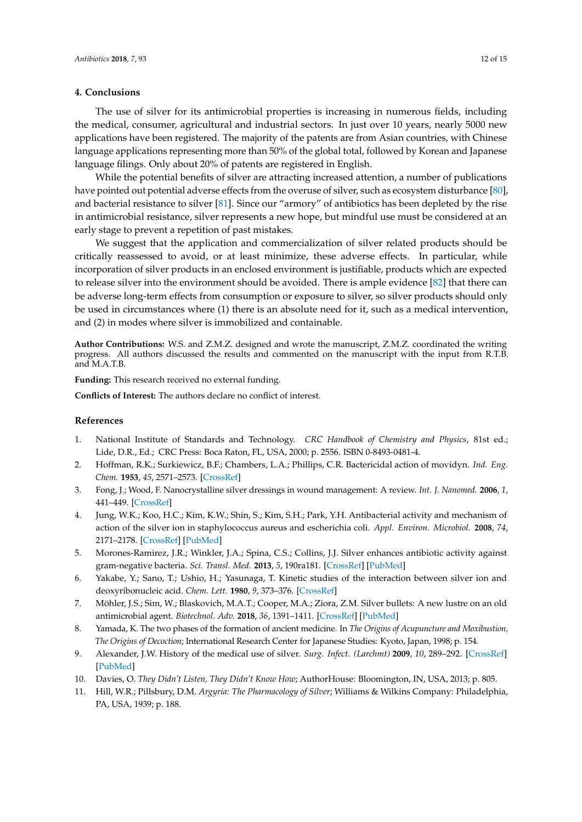#### **4. Conclusions**

The use of silver for its antimicrobial properties is increasing in numerous fields, including the medical, consumer, agricultural and industrial sectors. In just over 10 years, nearly 5000 new applications have been registered. The majority of the patents are from Asian countries, with Chinese language applications representing more than 50% of the global total, followed by Korean and Japanese language filings. Only about 20% of patents are registered in English.

While the potential benefits of silver are attracting increased attention, a number of publications have pointed out potential adverse effects from the overuse of silver, such as ecosystem disturbance [\[80\]](#page-14-10), and bacterial resistance to silver [\[81\]](#page-14-11). Since our "armory" of antibiotics has been depleted by the rise in antimicrobial resistance, silver represents a new hope, but mindful use must be considered at an early stage to prevent a repetition of past mistakes.

We suggest that the application and commercialization of silver related products should be critically reassessed to avoid, or at least minimize, these adverse effects. In particular, while incorporation of silver products in an enclosed environment is justifiable, products which are expected to release silver into the environment should be avoided. There is ample evidence [\[82\]](#page-14-12) that there can be adverse long-term effects from consumption or exposure to silver, so silver products should only be used in circumstances where (1) there is an absolute need for it, such as a medical intervention, and (2) in modes where silver is immobilized and containable.

**Author Contributions:** W.S. and Z.M.Z. designed and wrote the manuscript, Z.M.Z. coordinated the writing progress. All authors discussed the results and commented on the manuscript with the input from R.T.B. and M.A.T.B.

**Funding:** This research received no external funding.

**Conflicts of Interest:** The authors declare no conflict of interest.

#### **References**

- <span id="page-11-0"></span>1. National Institute of Standards and Technology. *CRC Handbook of Chemistry and Physics*, 81st ed.; Lide, D.R., Ed.; CRC Press: Boca Raton, FL, USA, 2000; p. 2556. ISBN 0-8493-0481-4.
- <span id="page-11-1"></span>2. Hoffman, R.K.; Surkiewicz, B.F.; Chambers, L.A.; Phillips, C.R. Bactericidal action of movidyn. *Ind. Eng. Chem.* **1953**, *45*, 2571–2573. [\[CrossRef\]](http://dx.doi.org/10.1021/ie50527a054)
- <span id="page-11-2"></span>3. Fong, J.; Wood, F. Nanocrystalline silver dressings in wound management: A review. *Int. J. Nanomed.* **2006**, *1*, 441–449. [\[CrossRef\]](http://dx.doi.org/10.2147/nano.2006.1.4.441)
- <span id="page-11-3"></span>4. Jung, W.K.; Koo, H.C.; Kim, K.W.; Shin, S.; Kim, S.H.; Park, Y.H. Antibacterial activity and mechanism of action of the silver ion in staphylococcus aureus and escherichia coli. *Appl. Environ. Microbiol.* **2008**, *74*, 2171–2178. [\[CrossRef\]](http://dx.doi.org/10.1128/AEM.02001-07) [\[PubMed\]](http://www.ncbi.nlm.nih.gov/pubmed/18245232)
- <span id="page-11-4"></span>5. Morones-Ramirez, J.R.; Winkler, J.A.; Spina, C.S.; Collins, J.J. Silver enhances antibiotic activity against gram-negative bacteria. *Sci. Transl. Med.* **2013**, *5*, 190ra181. [\[CrossRef\]](http://dx.doi.org/10.1126/scitranslmed.3006276) [\[PubMed\]](http://www.ncbi.nlm.nih.gov/pubmed/23785037)
- <span id="page-11-5"></span>6. Yakabe, Y.; Sano, T.; Ushio, H.; Yasunaga, T. Kinetic studies of the interaction between silver ion and deoxyribonucleic acid. *Chem. Lett.* **1980**, *9*, 373–376. [\[CrossRef\]](http://dx.doi.org/10.1246/cl.1980.373)
- <span id="page-11-6"></span>7. Möhler, J.S.; Sim, W.; Blaskovich, M.A.T.; Cooper, M.A.; Ziora, Z.M. Silver bullets: A new lustre on an old antimicrobial agent. *Biotechnol. Adv.* **2018**, *36*, 1391–1411. [\[CrossRef\]](http://dx.doi.org/10.1016/j.biotechadv.2018.05.004) [\[PubMed\]](http://www.ncbi.nlm.nih.gov/pubmed/29847770)
- <span id="page-11-7"></span>8. Yamada, K. The two phases of the formation of ancient medicine. In *The Origins of Acupuncture and Moxibustion, The Origins of Decoction*; International Research Center for Japanese Studies: Kyoto, Japan, 1998; p. 154.
- <span id="page-11-8"></span>9. Alexander, J.W. History of the medical use of silver. *Surg. Infect. (Larchmt)* **2009**, *10*, 289–292. [\[CrossRef\]](http://dx.doi.org/10.1089/sur.2008.9941) [\[PubMed\]](http://www.ncbi.nlm.nih.gov/pubmed/19566416)
- <span id="page-11-9"></span>10. Davies, O. *They Didn't Listen, They Didn't Know How*; AuthorHouse: Bloomington, IN, USA, 2013; p. 805.
- <span id="page-11-10"></span>11. Hill, W.R.; Pillsbury, D.M. *Argyria: The Pharmacology of Silver*; Williams & Wilkins Company: Philadelphia, PA, USA, 1939; p. 188.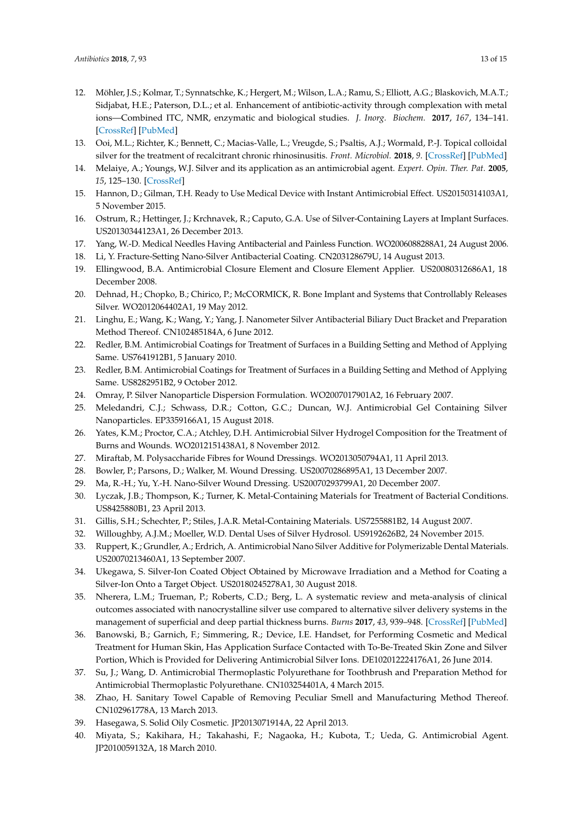- <span id="page-12-0"></span>12. Möhler, J.S.; Kolmar, T.; Synnatschke, K.; Hergert, M.; Wilson, L.A.; Ramu, S.; Elliott, A.G.; Blaskovich, M.A.T.; Sidjabat, H.E.; Paterson, D.L.; et al. Enhancement of antibiotic-activity through complexation with metal ions—Combined ITC, NMR, enzymatic and biological studies. *J. Inorg. Biochem.* **2017**, *167*, 134–141. [\[CrossRef\]](http://dx.doi.org/10.1016/j.jinorgbio.2016.11.028) [\[PubMed\]](http://www.ncbi.nlm.nih.gov/pubmed/27984786)
- <span id="page-12-1"></span>13. Ooi, M.L.; Richter, K.; Bennett, C.; Macias-Valle, L.; Vreugde, S.; Psaltis, A.J.; Wormald, P.-J. Topical colloidal silver for the treatment of recalcitrant chronic rhinosinusitis. *Front. Microbiol.* **2018**, *9*. [\[CrossRef\]](http://dx.doi.org/10.3389/fmicb.2018.00720) [\[PubMed\]](http://www.ncbi.nlm.nih.gov/pubmed/29696011)
- <span id="page-12-2"></span>14. Melaiye, A.; Youngs, W.J. Silver and its application as an antimicrobial agent. *Expert. Opin. Ther. Pat.* **2005**, *15*, 125–130. [\[CrossRef\]](http://dx.doi.org/10.1517/13543776.15.2.125)
- <span id="page-12-3"></span>15. Hannon, D.; Gilman, T.H. Ready to Use Medical Device with Instant Antimicrobial Effect. US20150314103A1, 5 November 2015.
- <span id="page-12-4"></span>16. Ostrum, R.; Hettinger, J.; Krchnavek, R.; Caputo, G.A. Use of Silver-Containing Layers at Implant Surfaces. US20130344123A1, 26 December 2013.
- <span id="page-12-5"></span>17. Yang, W.-D. Medical Needles Having Antibacterial and Painless Function. WO2006088288A1, 24 August 2006.
- <span id="page-12-6"></span>18. Li, Y. Fracture-Setting Nano-Silver Antibacterial Coating. CN203128679U, 14 August 2013.
- <span id="page-12-7"></span>19. Ellingwood, B.A. Antimicrobial Closure Element and Closure Element Applier. US20080312686A1, 18 December 2008.
- <span id="page-12-8"></span>20. Dehnad, H.; Chopko, B.; Chirico, P.; McCORMICK, R. Bone Implant and Systems that Controllably Releases Silver. WO2012064402A1, 19 May 2012.
- <span id="page-12-9"></span>21. Linghu, E.; Wang, K.; Wang, Y.; Yang, J. Nanometer Silver Antibacterial Biliary Duct Bracket and Preparation Method Thereof. CN102485184A, 6 June 2012.
- <span id="page-12-10"></span>22. Redler, B.M. Antimicrobial Coatings for Treatment of Surfaces in a Building Setting and Method of Applying Same. US7641912B1, 5 January 2010.
- <span id="page-12-11"></span>23. Redler, B.M. Antimicrobial Coatings for Treatment of Surfaces in a Building Setting and Method of Applying Same. US8282951B2, 9 October 2012.
- <span id="page-12-12"></span>24. Omray, P. Silver Nanoparticle Dispersion Formulation. WO2007017901A2, 16 February 2007.
- <span id="page-12-13"></span>25. Meledandri, C.J.; Schwass, D.R.; Cotton, G.C.; Duncan, W.J. Antimicrobial Gel Containing Silver Nanoparticles. EP3359166A1, 15 August 2018.
- <span id="page-12-14"></span>26. Yates, K.M.; Proctor, C.A.; Atchley, D.H. Antimicrobial Silver Hydrogel Composition for the Treatment of Burns and Wounds. WO2012151438A1, 8 November 2012.
- <span id="page-12-15"></span>27. Miraftab, M. Polysaccharide Fibres for Wound Dressings. WO2013050794A1, 11 April 2013.
- <span id="page-12-16"></span>28. Bowler, P.; Parsons, D.; Walker, M. Wound Dressing. US20070286895A1, 13 December 2007.
- <span id="page-12-17"></span>29. Ma, R.-H.; Yu, Y.-H. Nano-Silver Wound Dressing. US20070293799A1, 20 December 2007.
- <span id="page-12-18"></span>30. Lyczak, J.B.; Thompson, K.; Turner, K. Metal-Containing Materials for Treatment of Bacterial Conditions. US8425880B1, 23 April 2013.
- <span id="page-12-19"></span>31. Gillis, S.H.; Schechter, P.; Stiles, J.A.R. Metal-Containing Materials. US7255881B2, 14 August 2007.
- <span id="page-12-20"></span>32. Willoughby, A.J.M.; Moeller, W.D. Dental Uses of Silver Hydrosol. US9192626B2, 24 November 2015.
- <span id="page-12-21"></span>33. Ruppert, K.; Grundler, A.; Erdrich, A. Antimicrobial Nano Silver Additive for Polymerizable Dental Materials. US20070213460A1, 13 September 2007.
- <span id="page-12-22"></span>34. Ukegawa, S. Silver-Ion Coated Object Obtained by Microwave Irradiation and a Method for Coating a Silver-Ion Onto a Target Object. US20180245278A1, 30 August 2018.
- <span id="page-12-23"></span>35. Nherera, L.M.; Trueman, P.; Roberts, C.D.; Berg, L. A systematic review and meta-analysis of clinical outcomes associated with nanocrystalline silver use compared to alternative silver delivery systems in the management of superficial and deep partial thickness burns. *Burns* **2017**, *43*, 939–948. [\[CrossRef\]](http://dx.doi.org/10.1016/j.burns.2017.01.004) [\[PubMed\]](http://www.ncbi.nlm.nih.gov/pubmed/28161149)
- <span id="page-12-24"></span>36. Banowski, B.; Garnich, F.; Simmering, R.; Device, I.E. Handset, for Performing Cosmetic and Medical Treatment for Human Skin, Has Application Surface Contacted with To-Be-Treated Skin Zone and Silver Portion, Which is Provided for Delivering Antimicrobial Silver Ions. DE102012224176A1, 26 June 2014.
- <span id="page-12-25"></span>37. Su, J.; Wang, D. Antimicrobial Thermoplastic Polyurethane for Toothbrush and Preparation Method for Antimicrobial Thermoplastic Polyurethane. CN103254401A, 4 March 2015.
- <span id="page-12-26"></span>38. Zhao, H. Sanitary Towel Capable of Removing Peculiar Smell and Manufacturing Method Thereof. CN102961778A, 13 March 2013.
- <span id="page-12-27"></span>39. Hasegawa, S. Solid Oily Cosmetic. JP2013071914A, 22 April 2013.
- <span id="page-12-28"></span>40. Miyata, S.; Kakihara, H.; Takahashi, F.; Nagaoka, H.; Kubota, T.; Ueda, G. Antimicrobial Agent. JP2010059132A, 18 March 2010.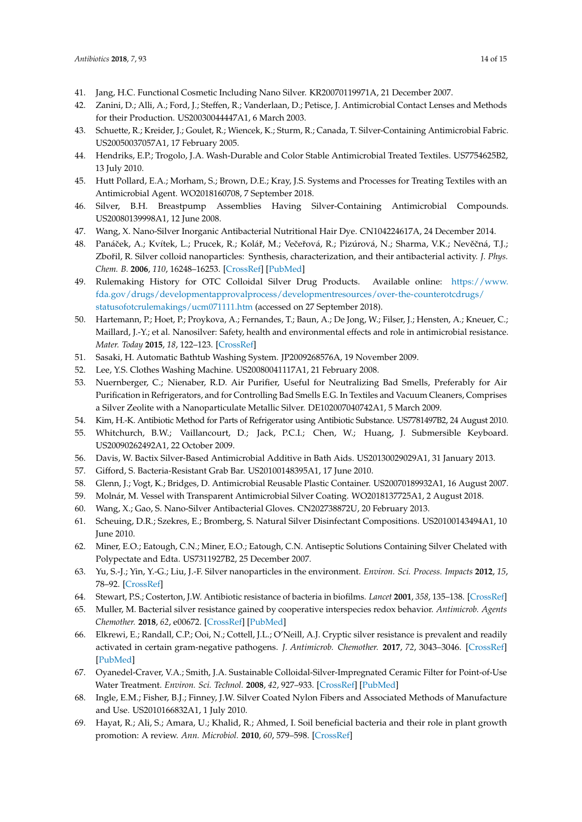- <span id="page-13-0"></span>41. Jang, H.C. Functional Cosmetic Including Nano Silver. KR20070119971A, 21 December 2007.
- <span id="page-13-1"></span>42. Zanini, D.; Alli, A.; Ford, J.; Steffen, R.; Vanderlaan, D.; Petisce, J. Antimicrobial Contact Lenses and Methods for their Production. US20030044447A1, 6 March 2003.
- <span id="page-13-2"></span>43. Schuette, R.; Kreider, J.; Goulet, R.; Wiencek, K.; Sturm, R.; Canada, T. Silver-Containing Antimicrobial Fabric. US20050037057A1, 17 February 2005.
- <span id="page-13-3"></span>44. Hendriks, E.P.; Trogolo, J.A. Wash-Durable and Color Stable Antimicrobial Treated Textiles. US7754625B2, 13 July 2010.
- <span id="page-13-4"></span>45. Hutt Pollard, E.A.; Morham, S.; Brown, D.E.; Kray, J.S. Systems and Processes for Treating Textiles with an Antimicrobial Agent. WO2018160708, 7 September 2018.
- <span id="page-13-5"></span>46. Silver, B.H. Breastpump Assemblies Having Silver-Containing Antimicrobial Compounds. US20080139998A1, 12 June 2008.
- <span id="page-13-6"></span>47. Wang, X. Nano-Silver Inorganic Antibacterial Nutritional Hair Dye. CN104224617A, 24 December 2014.
- <span id="page-13-7"></span>48. Panáček, A.; Kvítek, L.; Prucek, R.; Kolář, M.; Večeřová, R.; Pizúrová, N.; Sharma, V.K.; Nevěčná, T.J.; Zbořil, R. Silver colloid nanoparticles: Synthesis, characterization, and their antibacterial activity. *J. Phys. Chem. B.* **2006**, *110*, 16248–16253. [\[CrossRef\]](http://dx.doi.org/10.1021/jp063826h) [\[PubMed\]](http://www.ncbi.nlm.nih.gov/pubmed/16913750)
- <span id="page-13-8"></span>49. Rulemaking History for OTC Colloidal Silver Drug Products. Available online: [https://www.](https://www.fda.gov/drugs/developmentapprovalprocess/developmentresources/over-the-counterotcdrugs/statusofotcrulemakings/ucm071111.htm) [fda.gov/drugs/developmentapprovalprocess/developmentresources/over-the-counterotcdrugs/](https://www.fda.gov/drugs/developmentapprovalprocess/developmentresources/over-the-counterotcdrugs/statusofotcrulemakings/ucm071111.htm) [statusofotcrulemakings/ucm071111.htm](https://www.fda.gov/drugs/developmentapprovalprocess/developmentresources/over-the-counterotcdrugs/statusofotcrulemakings/ucm071111.htm) (accessed on 27 September 2018).
- <span id="page-13-9"></span>50. Hartemann, P.; Hoet, P.; Proykova, A.; Fernandes, T.; Baun, A.; De Jong, W.; Filser, J.; Hensten, A.; Kneuer, C.; Maillard, J.-Y.; et al. Nanosilver: Safety, health and environmental effects and role in antimicrobial resistance. *Mater. Today* **2015**, *18*, 122–123. [\[CrossRef\]](http://dx.doi.org/10.1016/j.mattod.2015.02.014)
- <span id="page-13-10"></span>51. Sasaki, H. Automatic Bathtub Washing System. JP2009268576A, 19 November 2009.
- <span id="page-13-11"></span>52. Lee, Y.S. Clothes Washing Machine. US20080041117A1, 21 February 2008.
- <span id="page-13-12"></span>53. Nuernberger, C.; Nienaber, R.D. Air Purifier, Useful for Neutralizing Bad Smells, Preferably for Air Purification in Refrigerators, and for Controlling Bad Smells E.G. In Textiles and Vacuum Cleaners, Comprises a Silver Zeolite with a Nanoparticulate Metallic Silver. DE102007040742A1, 5 March 2009.
- <span id="page-13-13"></span>54. Kim, H.-K. Antibiotic Method for Parts of Refrigerator using Antibiotic Substance. US7781497B2, 24 August 2010.
- <span id="page-13-14"></span>55. Whitchurch, B.W.; Vaillancourt, D.; Jack, P.C.I.; Chen, W.; Huang, J. Submersible Keyboard. US20090262492A1, 22 October 2009.
- <span id="page-13-15"></span>56. Davis, W. Bactix Silver-Based Antimicrobial Additive in Bath Aids. US20130029029A1, 31 January 2013.
- <span id="page-13-16"></span>57. Gifford, S. Bacteria-Resistant Grab Bar. US20100148395A1, 17 June 2010.
- <span id="page-13-17"></span>58. Glenn, J.; Vogt, K.; Bridges, D. Antimicrobial Reusable Plastic Container. US20070189932A1, 16 August 2007.
- <span id="page-13-18"></span>59. Molnár, M. Vessel with Transparent Antimicrobial Silver Coating. WO2018137725A1, 2 August 2018.
- <span id="page-13-19"></span>60. Wang, X.; Gao, S. Nano-Silver Antibacterial Gloves. CN202738872U, 20 February 2013.
- <span id="page-13-20"></span>61. Scheuing, D.R.; Szekres, E.; Bromberg, S. Natural Silver Disinfectant Compositions. US20100143494A1, 10 June 2010.
- <span id="page-13-21"></span>62. Miner, E.O.; Eatough, C.N.; Miner, E.O.; Eatough, C.N. Antiseptic Solutions Containing Silver Chelated with Polypectate and Edta. US7311927B2, 25 December 2007.
- <span id="page-13-22"></span>63. Yu, S.-J.; Yin, Y.-G.; Liu, J.-F. Silver nanoparticles in the environment. *Environ. Sci. Process. Impacts* **2012**, *15*, 78–92. [\[CrossRef\]](http://dx.doi.org/10.1039/C2EM30595J)
- <span id="page-13-23"></span>64. Stewart, P.S.; Costerton, J.W. Antibiotic resistance of bacteria in biofilms. *Lancet* **2001**, *358*, 135–138. [\[CrossRef\]](http://dx.doi.org/10.1016/S0140-6736(01)05321-1)
- <span id="page-13-24"></span>65. Muller, M. Bacterial silver resistance gained by cooperative interspecies redox behavior. *Antimicrob. Agents Chemother.* **2018**, *62*, e00672. [\[CrossRef\]](http://dx.doi.org/10.1128/AAC.00672-18) [\[PubMed\]](http://www.ncbi.nlm.nih.gov/pubmed/29760148)
- <span id="page-13-25"></span>66. Elkrewi, E.; Randall, C.P.; Ooi, N.; Cottell, J.L.; O'Neill, A.J. Cryptic silver resistance is prevalent and readily activated in certain gram-negative pathogens. *J. Antimicrob. Chemother.* **2017**, *72*, 3043–3046. [\[CrossRef\]](http://dx.doi.org/10.1093/jac/dkx258) [\[PubMed\]](http://www.ncbi.nlm.nih.gov/pubmed/28981647)
- <span id="page-13-26"></span>67. Oyanedel-Craver, V.A.; Smith, J.A. Sustainable Colloidal-Silver-Impregnated Ceramic Filter for Point-of-Use Water Treatment. *Environ. Sci. Technol.* **2008**, *42*, 927–933. [\[CrossRef\]](http://dx.doi.org/10.1021/es071268u) [\[PubMed\]](http://www.ncbi.nlm.nih.gov/pubmed/18323124)
- <span id="page-13-27"></span>68. Ingle, E.M.; Fisher, B.J.; Finney, J.W. Silver Coated Nylon Fibers and Associated Methods of Manufacture and Use. US2010166832A1, 1 July 2010.
- <span id="page-13-28"></span>69. Hayat, R.; Ali, S.; Amara, U.; Khalid, R.; Ahmed, I. Soil beneficial bacteria and their role in plant growth promotion: A review. *Ann. Microbiol.* **2010**, *60*, 579–598. [\[CrossRef\]](http://dx.doi.org/10.1007/s13213-010-0117-1)